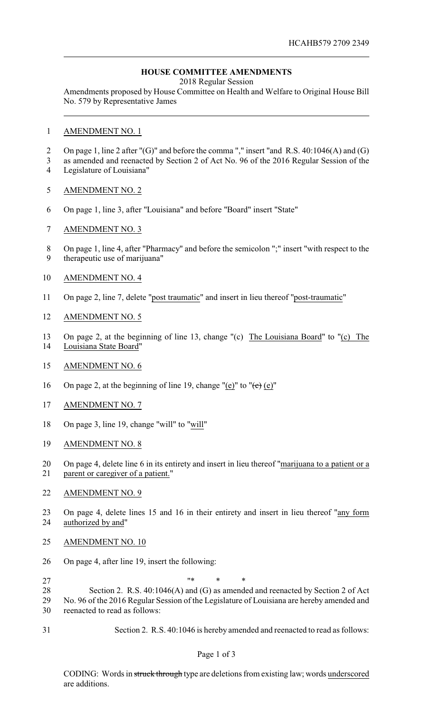## **HOUSE COMMITTEE AMENDMENTS**

2018 Regular Session

Amendments proposed by House Committee on Health and Welfare to Original House Bill No. 579 by Representative James

## AMENDMENT NO. 1

- 2 On page 1, line 2 after "(G)" and before the comma "," insert "and R.S. 40:1046(A) and (G)
- as amended and reenacted by Section 2 of Act No. 96 of the 2016 Regular Session of the Legislature of Louisiana"
- AMENDMENT NO. 2
- On page 1, line 3, after "Louisiana" and before "Board" insert "State"
- AMENDMENT NO. 3
- On page 1, line 4, after "Pharmacy" and before the semicolon ";" insert "with respect to the
- therapeutic use of marijuana"
- AMENDMENT NO. 4
- On page 2, line 7, delete "post traumatic" and insert in lieu thereof "post-traumatic"
- AMENDMENT NO. 5
- On page 2, at the beginning of line 13, change "(c) The Louisiana Board" to "(c) The Louisiana State Board"
- AMENDMENT NO. 6
- 16 On page 2, at the beginning of line 19, change "(e)" to " $\left(\frac{e}{c}\right)$  (e)"
- AMENDMENT NO. 7
- On page 3, line 19, change "will" to "will"
- AMENDMENT NO. 8
- On page 4, delete line 6 in its entirety and insert in lieu thereof "marijuana to a patient or a parent or caregiver of a patient."
- AMENDMENT NO. 9
- On page 4, delete lines 15 and 16 in their entirety and insert in lieu thereof "any form authorized by and"
- AMENDMENT NO. 10
- On page 4, after line 19, insert the following:
- $\cdots$   $\cdots$   $\cdots$   $\cdots$
- Section 2. R.S. 40:1046(A) and (G) as amended and reenacted by Section 2 of Act No. 96 of the 2016 Regular Session of the Legislature of Louisiana are hereby amended and reenacted to read as follows:
- Section 2. R.S. 40:1046 is hereby amended and reenacted to read as follows:

CODING: Words in struck through type are deletions from existing law; words underscored are additions.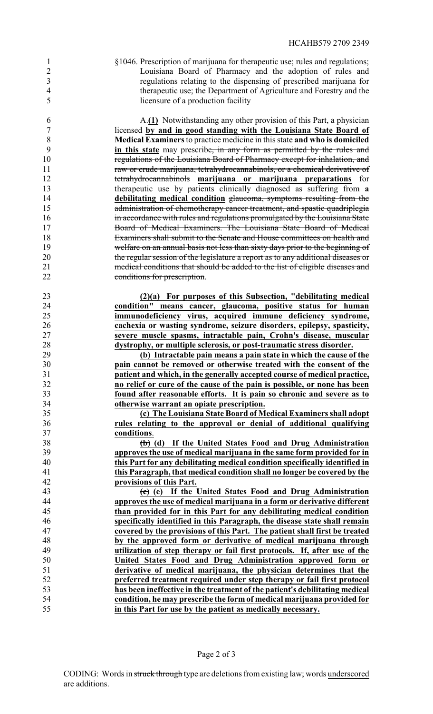§1046. Prescription of marijuana for therapeutic use; rules and regulations; Louisiana Board of Pharmacy and the adoption of rules and regulations relating to the dispensing of prescribed marijuana for therapeutic use; the Department of Agriculture and Forestry and the licensure of a production facility

 A.**(1)** Notwithstanding any other provision of this Part, a physician licensed **by and in good standing with the Louisiana State Board of Medical Examiners**to practice medicine in this state **and who is domiciled in this state** may prescribe, in any form as permitted by the rules and regulations of the Louisiana Board of Pharmacy except for inhalation, and raw or crude marijuana, tetrahydrocannabinols, or a chemical derivative of tetrahydrocannabinols **marijuana or marijuana preparations** for therapeutic use by patients clinically diagnosed as suffering from **a debilitating medical condition** glaucoma, symptoms resulting from the administration of chemotherapy cancer treatment, and spastic quadriplegia **in accordance with rules and regulations promulgated by the Louisiana State**  Board of Medical Examiners. The Louisiana State Board of Medical Examiners shall submit to the Senate and House committees on health and welfare on an annual basis not less than sixty days prior to the beginning of the regular session of the legislature a report as to any additional diseases or medical conditions that should be added to the list of eligible diseases and conditions for prescription.

**(2)(a)** For purposes of this Subsection, "debilitating medical<br>24 **condition**" means cancer, glaucoma, positive status for human **condition" means cancer, glaucoma, positive status for human immunodeficiency virus, acquired immune deficiency syndrome, cachexia or wasting syndrome, seizure disorders, epilepsy, spasticity, severe muscle spasms, intractable pain, Crohn's disease, muscular dystrophy, or multiple sclerosis, or post-traumatic stress disorder.**

 **(b) Intractable pain means a pain state in which the cause of the pain cannot be removed or otherwise treated with the consent of the patient and which, in the generally accepted course of medical practice, no relief or cure of the cause of the pain is possible, or none has been found after reasonable efforts. It is pain so chronic and severe as to otherwise warrant an opiate prescription.**

 **(c) The Louisiana State Board of Medical Examiners shall adopt rules relating to the approval or denial of additional qualifying conditions**.

 **(b) (d) If the United States Food and Drug Administration approves the use of medical marijuana in the same form provided for in this Part for any debilitating medical condition specifically identified in this Paragraph, that medical condition shall no longer be covered by the provisions of this Part.**

 **(c) (e) If the United States Food and Drug Administration approves the use of medical marijuana in a form or derivative different than provided for in this Part for any debilitating medical condition specifically identified in this Paragraph, the disease state shall remain covered by the provisions of this Part. The patient shall first be treated by the approved form or derivative of medical marijuana through utilization of step therapy or fail first protocols. If, after use of the United States Food and Drug Administration approved form or derivative of medical marijuana, the physician determines that the preferred treatment required under step therapy or fail first protocol has been ineffective in the treatment of the patient's debilitating medical condition, he may prescribe the form of medical marijuana provided for in this Part for use by the patient as medically necessary.**